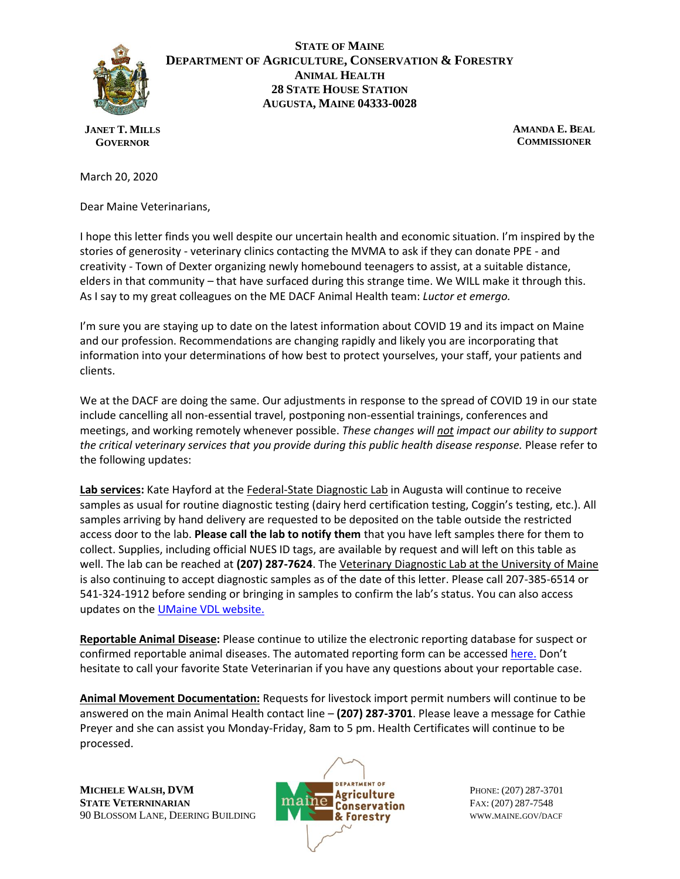

## **STATE OF MAINE DEPARTMENT OF AGRICULTURE, CONSERVATION & FORESTRY ANIMAL HEALTH 28 STATE HOUSE STATION AUGUSTA, MAINE 04333-0028**

**JANET T. MILLS GOVERNOR**

**AMANDA E. BEAL COMMISSIONER**

March 20, 2020

Dear Maine Veterinarians,

I hope this letter finds you well despite our uncertain health and economic situation. I'm inspired by the stories of generosity - veterinary clinics contacting the MVMA to ask if they can donate PPE - and creativity - Town of Dexter organizing newly homebound teenagers to assist, at a suitable distance, elders in that community – that have surfaced during this strange time. We WILL make it through this. As I say to my great colleagues on the ME DACF Animal Health team: *Luctor et emergo.*

I'm sure you are staying up to date on the latest information about COVID 19 and its impact on Maine and our profession. Recommendations are changing rapidly and likely you are incorporating that information into your determinations of how best to protect yourselves, your staff, your patients and clients.

We at the DACF are doing the same. Our adjustments in response to the spread of COVID 19 in our state include cancelling all non-essential travel, postponing non-essential trainings, conferences and meetings, and working remotely whenever possible. *These changes will not impact our ability to support the critical veterinary services that you provide during this public health disease response.* Please refer to the following updates:

**Lab services:** Kate Hayford at the Federal-State Diagnostic Lab in Augusta will continue to receive samples as usual for routine diagnostic testing (dairy herd certification testing, Coggin's testing, etc.). All samples arriving by hand delivery are requested to be deposited on the table outside the restricted access door to the lab. **Please call the lab to notify them** that you have left samples there for them to collect. Supplies, including official NUES ID tags, are available by request and will left on this table as well. The lab can be reached at **(207) 287-7624**. The Veterinary Diagnostic Lab at the University of Maine is also continuing to accept diagnostic samples as of the date of this letter. Please call 207-385-6514 or 541-324-1912 before sending or bringing in samples to confirm the lab's status. You can also access updates on the **UMaine VDL website.** 

**Reportable Animal Disease:** Please continue to utilize the electronic reporting database for suspect or confirmed reportable animal diseases. The automated reporting form can be accessed [here.](https://www.maine.gov/dacf/ahw/animal_health/disease_reporting_form.shtml) Don't hesitate to call your favorite State Veterinarian if you have any questions about your reportable case.

**Animal Movement Documentation:** Requests for livestock import permit numbers will continue to be answered on the main Animal Health contact line – **(207) 287-3701**. Please leave a message for Cathie Preyer and she can assist you Monday-Friday, 8am to 5 pm. Health Certificates will continue to be processed.

**MICHELE WALSH, DVM PERALLY A PERALLY OF PHONE:** (207) 287-3701 **STATE VETERNINARIAN FAX: (207) 287-7548** 90 BLOSSOM LANE, DEERING BUILDING **WWW.MAINE.GOV/DACF**